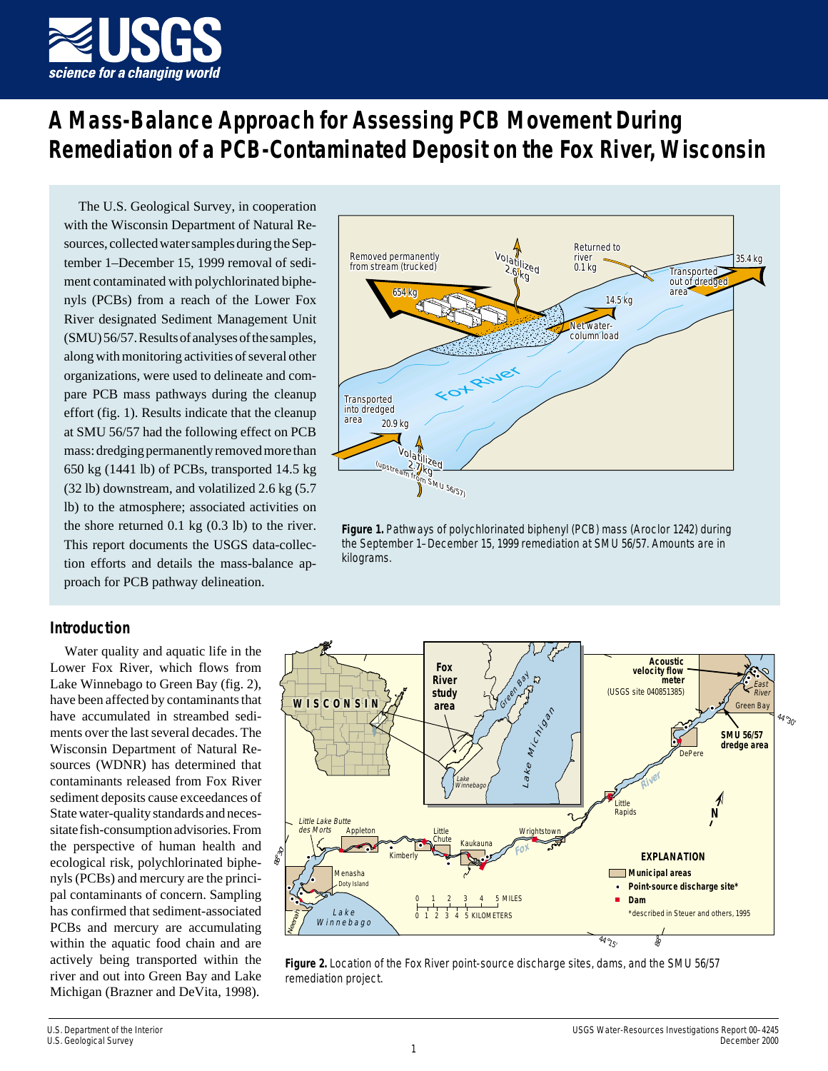

# **A Mass-Balance Approach for Assessing PCB Movement During Remediation of a PCB-Contaminated Deposit on the Fox River, Wisconsin**

The U.S. Geological Survey, in cooperation with the Wisconsin Department of Natural Resources, collected water samples during the September 1–December 15, 1999 removal of sediment contaminated with polychlorinated biphenyls (PCBs) from a reach of the Lower Fox River designated Sediment Management Unit (SMU) 56/57. Results of analyses of the samples, along with monitoring activities of several other organizations, were used to delineate and compare PCB mass pathways during the cleanup effort (fig. 1). Results indicate that the cleanup at SMU 56/57 had the following effect on PCB mass: dredging permanently removed more than 650 kg (1441 lb) of PCBs, transported 14.5 kg (32 lb) downstream, and volatilized 2.6 kg (5.7 lb) to the atmosphere; associated activities on the shore returned 0.1 kg (0.3 lb) to the river. This report documents the USGS data-collection efforts and details the mass-balance approach for PCB pathway delineation.

# **Introduction**

Water quality and aquatic life in the Lower Fox River, which flows from Lake Winnebago to Green Bay (fig. 2), have been affected by contaminants that have accumulated in streambed sediments over the last several decades. The Wisconsin Department of Natural Resources (WDNR) has determined that contaminants released from Fox River sediment deposits cause exceedances of State water-quality standards and necessitate fish-consumption advisories. From the perspective of human health and ecological risk, polychlorinated biphenyls (PCBs) and mercury are the principal contaminants of concern. Sampling has confirmed that sediment-associated PCBs and mercury are accumulating within the aquatic food chain and are actively being transported within the river and out into Green Bay and Lake Michigan (Brazner and DeVita, 1998).



**Figure 1.** Pathways of polychlorinated biphenyl (PCB) mass (Aroclor 1242) during the September 1–December 15, 1999 remediation at SMU 56/57. Amounts are in kilograms.



**Figure 2.** Location of the Fox River point-source discharge sites, dams, and the SMU 56/57 remediation project.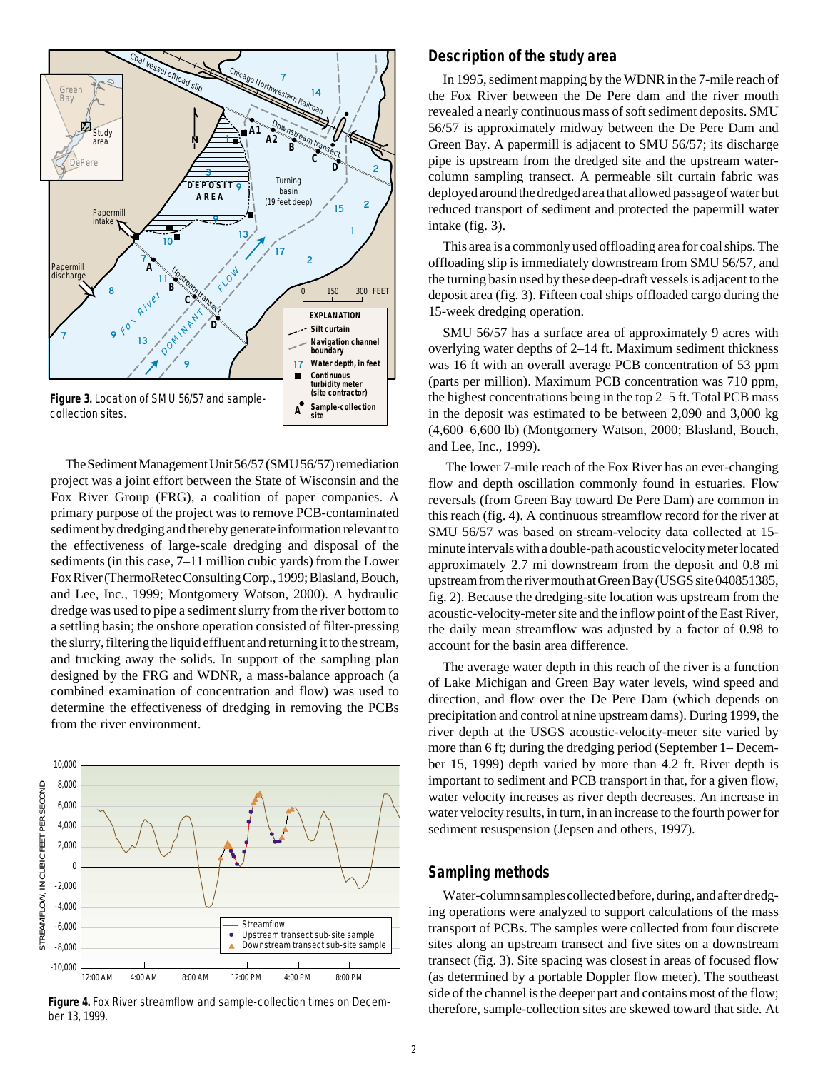

The Sediment Management Unit 56/57 (SMU 56/57) remediation project was a joint effort between the State of Wisconsin and the Fox River Group (FRG), a coalition of paper companies. A primary purpose of the project was to remove PCB-contaminated sediment by dredging and thereby generate information relevant to the effectiveness of large-scale dredging and disposal of the sediments (in this case, 7–11 million cubic yards) from the Lower Fox River (ThermoRetec Consulting Corp., 1999; Blasland, Bouch, and Lee, Inc., 1999; Montgomery Watson, 2000). A hydraulic dredge was used to pipe a sediment slurry from the river bottom to a settling basin; the onshore operation consisted of filter-pressing the slurry, filtering the liquid effluent and returning it to the stream, and trucking away the solids. In support of the sampling plan designed by the FRG and WDNR, a mass-balance approach (a combined examination of concentration and flow) was used to determine the effectiveness of dredging in removing the PCBs from the river environment.



**Figure 4.** Fox River streamflow and sample-collection times on December 13, 1999.

#### **Description of the study area**

In 1995, sediment mapping by the WDNR in the 7-mile reach of the Fox River between the De Pere dam and the river mouth revealed a nearly continuous mass of soft sediment deposits. SMU 56/57 is approximately midway between the De Pere Dam and Green Bay. A papermill is adjacent to SMU 56/57; its discharge pipe is upstream from the dredged site and the upstream watercolumn sampling transect. A permeable silt curtain fabric was deployed around the dredged area that allowed passage of water but reduced transport of sediment and protected the papermill water intake (fig. 3).

This area is a commonly used offloading area for coal ships. The offloading slip is immediately downstream from SMU 56/57, and the turning basin used by these deep-draft vessels is adjacent to the deposit area (fig. 3). Fifteen coal ships offloaded cargo during the 15-week dredging operation.

SMU 56/57 has a surface area of approximately 9 acres with overlying water depths of 2–14 ft. Maximum sediment thickness was 16 ft with an overall average PCB concentration of 53 ppm (parts per million). Maximum PCB concentration was 710 ppm, the highest concentrations being in the top 2–5 ft. Total PCB mass in the deposit was estimated to be between 2,090 and 3,000 kg (4,600–6,600 lb) (Montgomery Watson, 2000; Blasland, Bouch, and Lee, Inc., 1999).

 The lower 7-mile reach of the Fox River has an ever-changing flow and depth oscillation commonly found in estuaries. Flow reversals (from Green Bay toward De Pere Dam) are common in this reach (fig. 4). A continuous streamflow record for the river at SMU 56/57 was based on stream-velocity data collected at 15 minute intervals with a double-path acoustic velocity meter located approximately 2.7 mi downstream from the deposit and 0.8 mi upstream from the river mouth at Green Bay (USGS site 040851385, fig. 2). Because the dredging-site location was upstream from the acoustic-velocity-meter site and the inflow point of the East River, the daily mean streamflow was adjusted by a factor of 0.98 to account for the basin area difference.

The average water depth in this reach of the river is a function of Lake Michigan and Green Bay water levels, wind speed and direction, and flow over the De Pere Dam (which depends on precipitation and control at nine upstream dams). During 1999, the river depth at the USGS acoustic-velocity-meter site varied by more than 6 ft; during the dredging period (September 1– December 15, 1999) depth varied by more than 4.2 ft. River depth is important to sediment and PCB transport in that, for a given flow, water velocity increases as river depth decreases. An increase in water velocity results, in turn, in an increase to the fourth power for sediment resuspension (Jepsen and others, 1997).

#### **Sampling methods**

Water-column samples collected before, during, and after dredging operations were analyzed to support calculations of the mass transport of PCBs. The samples were collected from four discrete sites along an upstream transect and five sites on a downstream transect (fig. 3). Site spacing was closest in areas of focused flow (as determined by a portable Doppler flow meter). The southeast side of the channel is the deeper part and contains most of the flow; therefore, sample-collection sites are skewed toward that side. At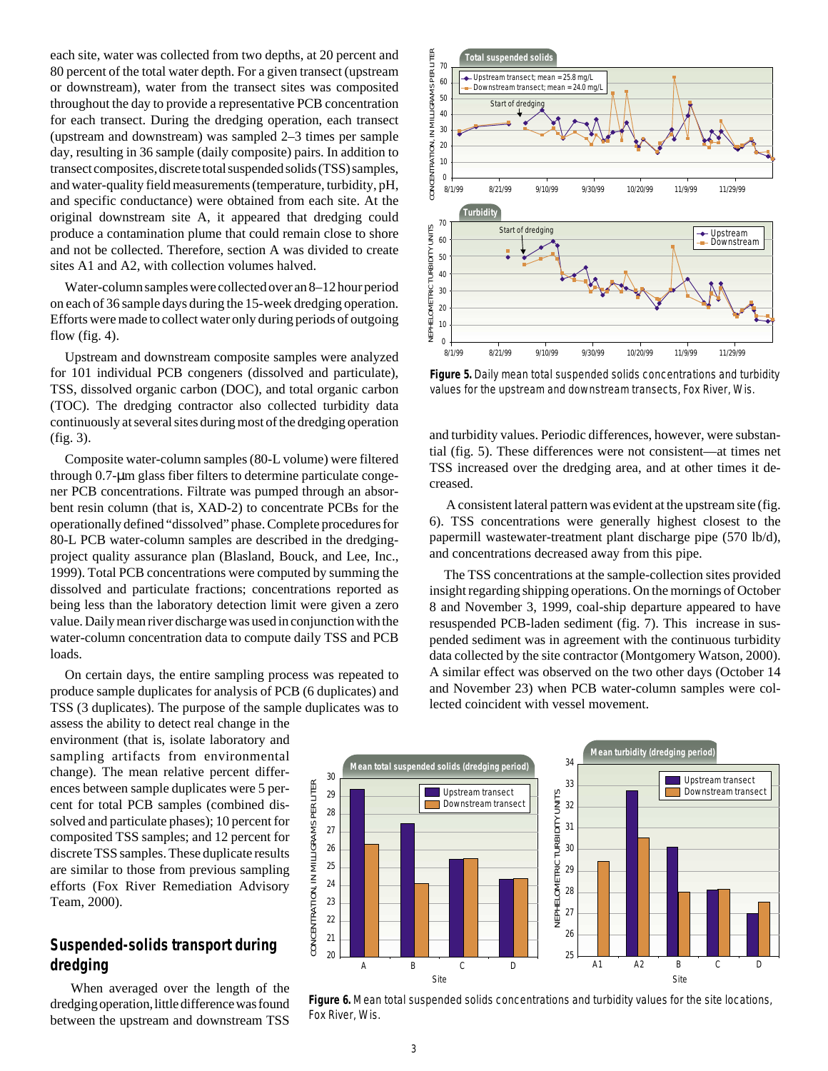each site, water was collected from two depths, at 20 percent and 80 percent of the total water depth. For a given transect (upstream or downstream), water from the transect sites was composited throughout the day to provide a representative PCB concentration for each transect. During the dredging operation, each transect (upstream and downstream) was sampled 2–3 times per sample day, resulting in 36 sample (daily composite) pairs. In addition to transect composites, discrete total suspended solids (TSS) samples, and water-quality field measurements (temperature, turbidity, pH, and specific conductance) were obtained from each site. At the original downstream site A, it appeared that dredging could produce a contamination plume that could remain close to shore and not be collected. Therefore, section A was divided to create sites A1 and A2, with collection volumes halved.

Water-column samples were collected over an 8–12 hour period on each of 36 sample days during the 15-week dredging operation. Efforts were made to collect water only during periods of outgoing flow (fig.  $4$ ).

Upstream and downstream composite samples were analyzed for 101 individual PCB congeners (dissolved and particulate), TSS, dissolved organic carbon (DOC), and total organic carbon (TOC). The dredging contractor also collected turbidity data continuously at several sites during most of the dredging operation (fig. 3).

Composite water-column samples (80-L volume) were filtered through 0.7-µm glass fiber filters to determine particulate congener PCB concentrations. Filtrate was pumped through an absorbent resin column (that is, XAD-2) to concentrate PCBs for the operationally defined "dissolved" phase. Complete procedures for 80-L PCB water-column samples are described in the dredgingproject quality assurance plan (Blasland, Bouck, and Lee, Inc., 1999). Total PCB concentrations were computed by summing the dissolved and particulate fractions; concentrations reported as being less than the laboratory detection limit were given a zero value. Daily mean river discharge was used in conjunction with the water-column concentration data to compute daily TSS and PCB loads.

On certain days, the entire sampling process was repeated to produce sample duplicates for analysis of PCB (6 duplicates) and TSS (3 duplicates). The purpose of the sample duplicates was to

assess the ability to detect real change in the environment (that is, isolate laboratory and sampling artifacts from environmental change). The mean relative percent differences between sample duplicates were 5 percent for total PCB samples (combined dissolved and particulate phases); 10 percent for composited TSS samples; and 12 percent for discrete TSS samples. These duplicate results are similar to those from previous sampling efforts (Fox River Remediation Advisory Team, 2000).

# **Suspended-solids transport during dredging**

 When averaged over the length of the dredging operation, little difference was found between the upstream and downstream TSS



**Figure 5.** Daily mean total suspended solids concentrations and turbidity values for the upstream and downstream transects, Fox River, Wis.

and turbidity values. Periodic differences, however, were substantial (fig. 5). These differences were not consistent—at times net TSS increased over the dredging area, and at other times it decreased.

 A consistent lateral pattern was evident at the upstream site (fig. 6). TSS concentrations were generally highest closest to the papermill wastewater-treatment plant discharge pipe (570 lb/d), and concentrations decreased away from this pipe.

The TSS concentrations at the sample-collection sites provided insight regarding shipping operations. On the mornings of October 8 and November 3, 1999, coal-ship departure appeared to have resuspended PCB-laden sediment (fig. 7). This increase in suspended sediment was in agreement with the continuous turbidity data collected by the site contractor (Montgomery Watson, 2000). A similar effect was observed on the two other days (October 14 and November 23) when PCB water-column samples were collected coincident with vessel movement.



**Figure 6.** Mean total suspended solids concentrations and turbidity values for the site locations, Fox River, Wis.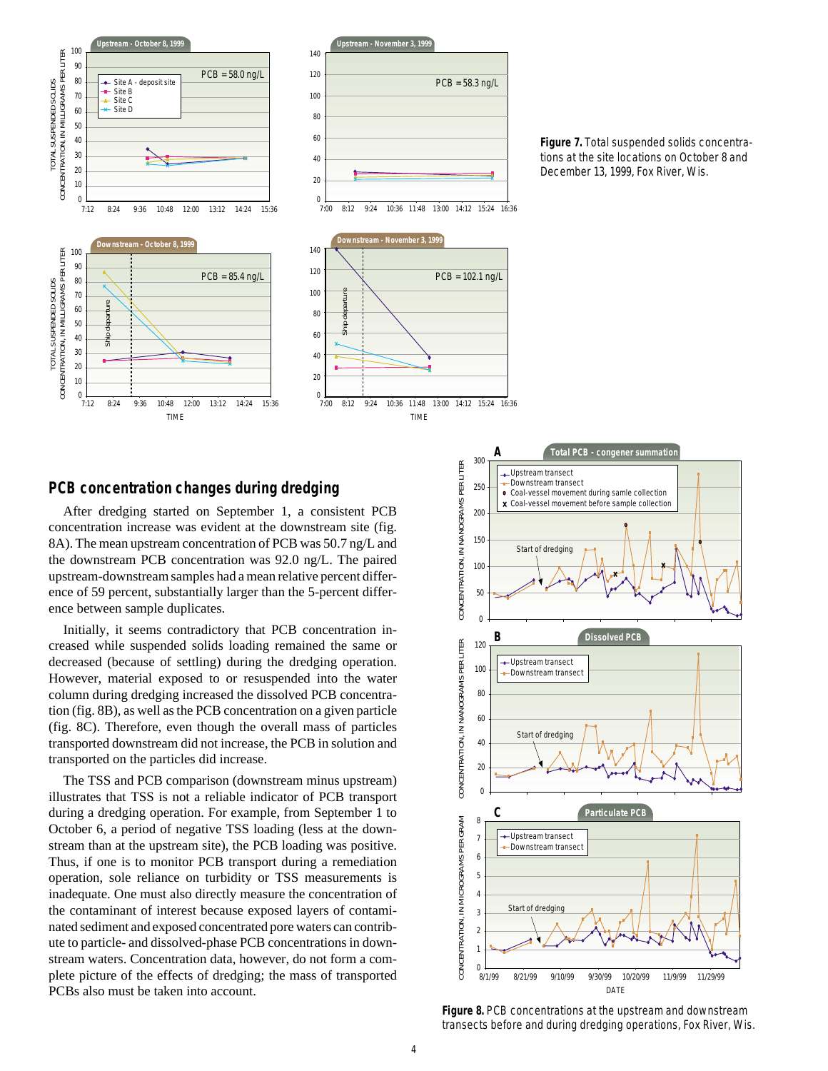

**Figure 7.** Total suspended solids concentrations at the site locations on October 8 and December 13, 1999, Fox River, Wis.

## **PCB concentration changes during dredging**

After dredging started on September 1, a consistent PCB concentration increase was evident at the downstream site (fig. 8A). The mean upstream concentration of PCB was 50.7 ng/L and the downstream PCB concentration was 92.0 ng/L. The paired upstream-downstream samples had a mean relative percent difference of 59 percent, substantially larger than the 5-percent difference between sample duplicates.

Initially, it seems contradictory that PCB concentration increased while suspended solids loading remained the same or decreased (because of settling) during the dredging operation. However, material exposed to or resuspended into the water column during dredging increased the dissolved PCB concentration (fig. 8B), as well as the PCB concentration on a given particle (fig. 8C). Therefore, even though the overall mass of particles transported downstream did not increase, the PCB in solution and transported on the particles did increase.

The TSS and PCB comparison (downstream minus upstream) illustrates that TSS is not a reliable indicator of PCB transport during a dredging operation. For example, from September 1 to October 6, a period of negative TSS loading (less at the downstream than at the upstream site), the PCB loading was positive. Thus, if one is to monitor PCB transport during a remediation operation, sole reliance on turbidity or TSS measurements is inadequate. One must also directly measure the concentration of the contaminant of interest because exposed layers of contaminated sediment and exposed concentrated pore waters can contribute to particle- and dissolved-phase PCB concentrations in downstream waters. Concentration data, however, do not form a complete picture of the effects of dredging; the mass of transported PCBs also must be taken into account.



**Figure 8.** PCB concentrations at the upstream and downstream transects before and during dredging operations, Fox River, Wis.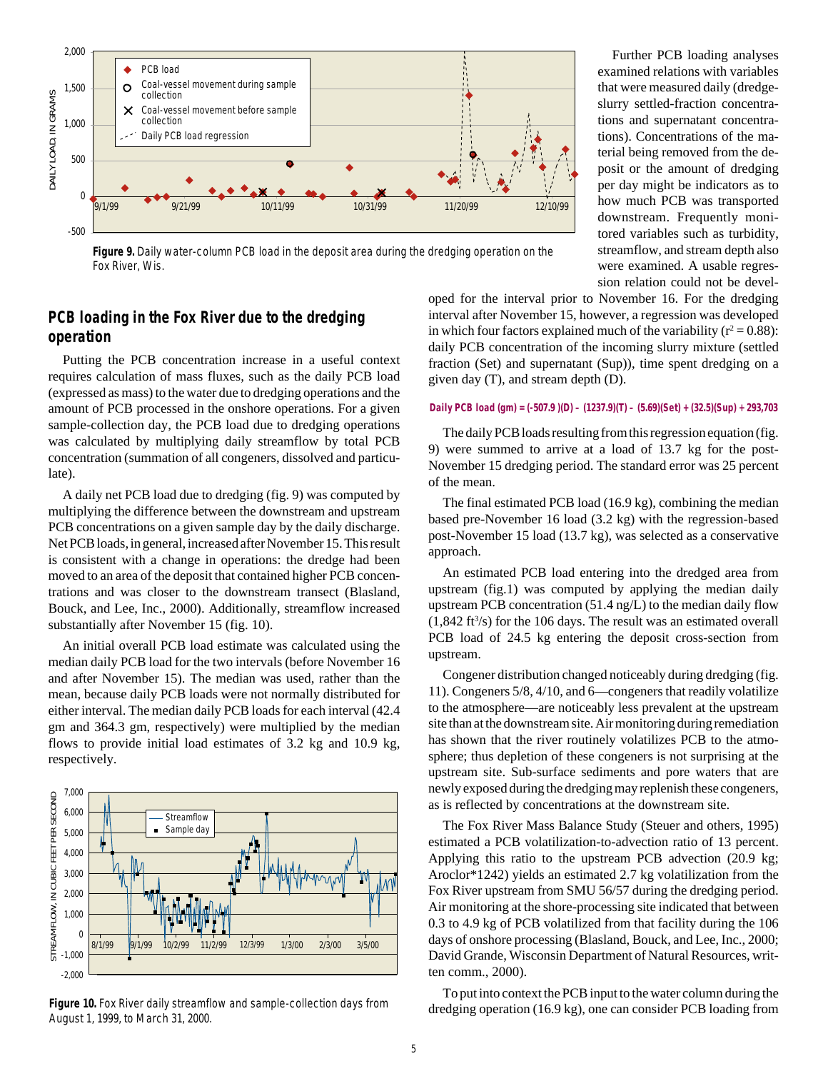

**Figure 9.** Daily water-column PCB load in the deposit area during the dredging operation on the Fox River, Wis.

# **PCB loading in the Fox River due to the dredging operation**

Putting the PCB concentration increase in a useful context requires calculation of mass fluxes, such as the daily PCB load (expressed as mass) to the water due to dredging operations and the amount of PCB processed in the onshore operations. For a given sample-collection day, the PCB load due to dredging operations was calculated by multiplying daily streamflow by total PCB concentration (summation of all congeners, dissolved and particulate).

A daily net PCB load due to dredging (fig. 9) was computed by multiplying the difference between the downstream and upstream PCB concentrations on a given sample day by the daily discharge. Net PCB loads, in general, increased after November 15. This result is consistent with a change in operations: the dredge had been moved to an area of the deposit that contained higher PCB concentrations and was closer to the downstream transect (Blasland, Bouck, and Lee, Inc., 2000). Additionally, streamflow increased substantially after November 15 (fig. 10).

An initial overall PCB load estimate was calculated using the median daily PCB load for the two intervals (before November 16 and after November 15). The median was used, rather than the mean, because daily PCB loads were not normally distributed for either interval. The median daily PCB loads for each interval (42.4 gm and 364.3 gm, respectively) were multiplied by the median flows to provide initial load estimates of 3.2 kg and 10.9 kg, respectively.



**Figure 10.** Fox River daily streamflow and sample-collection days from August 1, 1999, to March 31, 2000.

Further PCB loading analyses examined relations with variables that were measured daily (dredgeslurry settled-fraction concentrations and supernatant concentrations). Concentrations of the material being removed from the deposit or the amount of dredging per day might be indicators as to how much PCB was transported downstream. Frequently monitored variables such as turbidity, streamflow, and stream depth also were examined. A usable regression relation could not be devel-

oped for the interval prior to November 16. For the dredging interval after November 15, however, a regression was developed in which four factors explained much of the variability ( $r^2 = 0.88$ ): daily PCB concentration of the incoming slurry mixture (settled fraction (Set) and supernatant (Sup)), time spent dredging on a given day (T), and stream depth (D).

#### **Daily PCB load (gm) = (-507.9 )(D) – (1237.9)(T) – (5.69)(Set) + (32.5)(Sup) + 293,703**

The daily PCB loads resulting from this regression equation (fig. 9) were summed to arrive at a load of 13.7 kg for the post-November 15 dredging period. The standard error was 25 percent of the mean.

The final estimated PCB load (16.9 kg), combining the median based pre-November 16 load (3.2 kg) with the regression-based post-November 15 load (13.7 kg), was selected as a conservative approach.

An estimated PCB load entering into the dredged area from upstream (fig.1) was computed by applying the median daily upstream PCB concentration (51.4 ng/L) to the median daily flow  $(1,842 \text{ ft}^3/\text{s})$  for the 106 days. The result was an estimated overall PCB load of 24.5 kg entering the deposit cross-section from upstream.

Congener distribution changed noticeably during dredging (fig. 11). Congeners 5/8, 4/10, and 6—congeners that readily volatilize to the atmosphere—are noticeably less prevalent at the upstream site than at the downstream site. Air monitoring during remediation has shown that the river routinely volatilizes PCB to the atmosphere; thus depletion of these congeners is not surprising at the upstream site. Sub-surface sediments and pore waters that are newly exposed during the dredging may replenish these congeners, as is reflected by concentrations at the downstream site.

The Fox River Mass Balance Study (Steuer and others, 1995) estimated a PCB volatilization-to-advection ratio of 13 percent. Applying this ratio to the upstream PCB advection (20.9 kg; Aroclor\*1242) yields an estimated 2.7 kg volatilization from the Fox River upstream from SMU 56/57 during the dredging period. Air monitoring at the shore-processing site indicated that between 0.3 to 4.9 kg of PCB volatilized from that facility during the 106 days of onshore processing (Blasland, Bouck, and Lee, Inc., 2000; David Grande, Wisconsin Department of Natural Resources, written comm., 2000).

To put into context the PCB input to the water column during the dredging operation (16.9 kg), one can consider PCB loading from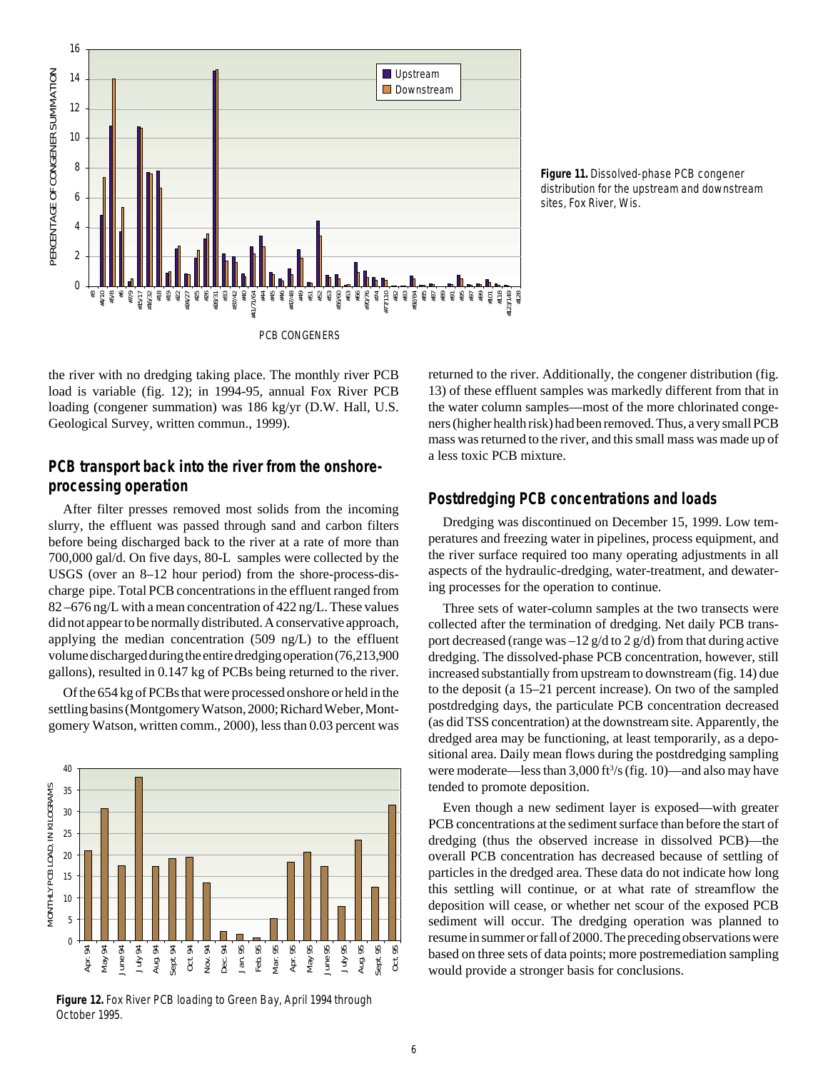

**Figure 11.** Dissolved-phase PCB congener distribution for the upstream and downstream sites, Fox River, Wis.

the river with no dredging taking place. The monthly river PCB load is variable (fig. 12); in 1994-95, annual Fox River PCB loading (congener summation) was 186 kg/yr (D.W. Hall, U.S. Geological Survey, written commun., 1999).

## **PCB transport back into the river from the onshoreprocessing operation**

After filter presses removed most solids from the incoming slurry, the effluent was passed through sand and carbon filters before being discharged back to the river at a rate of more than 700,000 gal/d. On five days, 80-L samples were collected by the USGS (over an 8–12 hour period) from the shore-process-discharge pipe. Total PCB concentrations in the effluent ranged from 82 –676 ng/L with a mean concentration of 422 ng/L. These values did not appear to be normally distributed. A conservative approach, applying the median concentration (509 ng/L) to the effluent volume discharged during the entire dredging operation (76,213,900 gallons), resulted in 0.147 kg of PCBs being returned to the river.

Of the 654 kg of PCBs that were processed onshore or held in the settling basins (Montgomery Watson, 2000; Richard Weber, Montgomery Watson, written comm., 2000), less than 0.03 percent was



**Figure 12.** Fox River PCB loading to Green Bay, April 1994 through October 1995.

returned to the river. Additionally, the congener distribution (fig. 13) of these effluent samples was markedly different from that in the water column samples—most of the more chlorinated congeners (higher health risk) had been removed. Thus, a very small PCB mass was returned to the river, and this small mass was made up of a less toxic PCB mixture.

## **Postdredging PCB concentrations and loads**

Dredging was discontinued on December 15, 1999. Low temperatures and freezing water in pipelines, process equipment, and the river surface required too many operating adjustments in all aspects of the hydraulic-dredging, water-treatment, and dewatering processes for the operation to continue.

Three sets of water-column samples at the two transects were collected after the termination of dredging. Net daily PCB transport decreased (range was  $-12$  g/d to 2 g/d) from that during active dredging. The dissolved-phase PCB concentration, however, still increased substantially from upstream to downstream (fig. 14) due to the deposit (a 15–21 percent increase). On two of the sampled postdredging days, the particulate PCB concentration decreased (as did TSS concentration) at the downstream site. Apparently, the dredged area may be functioning, at least temporarily, as a depositional area. Daily mean flows during the postdredging sampling were moderate—less than 3,000 ft<sup>3</sup>/s (fig. 10)—and also may have tended to promote deposition.

Even though a new sediment layer is exposed—with greater PCB concentrations at the sediment surface than before the start of dredging (thus the observed increase in dissolved PCB)—the overall PCB concentration has decreased because of settling of particles in the dredged area. These data do not indicate how long this settling will continue, or at what rate of streamflow the deposition will cease, or whether net scour of the exposed PCB sediment will occur. The dredging operation was planned to resume in summer or fall of 2000. The preceding observations were based on three sets of data points; more postremediation sampling would provide a stronger basis for conclusions.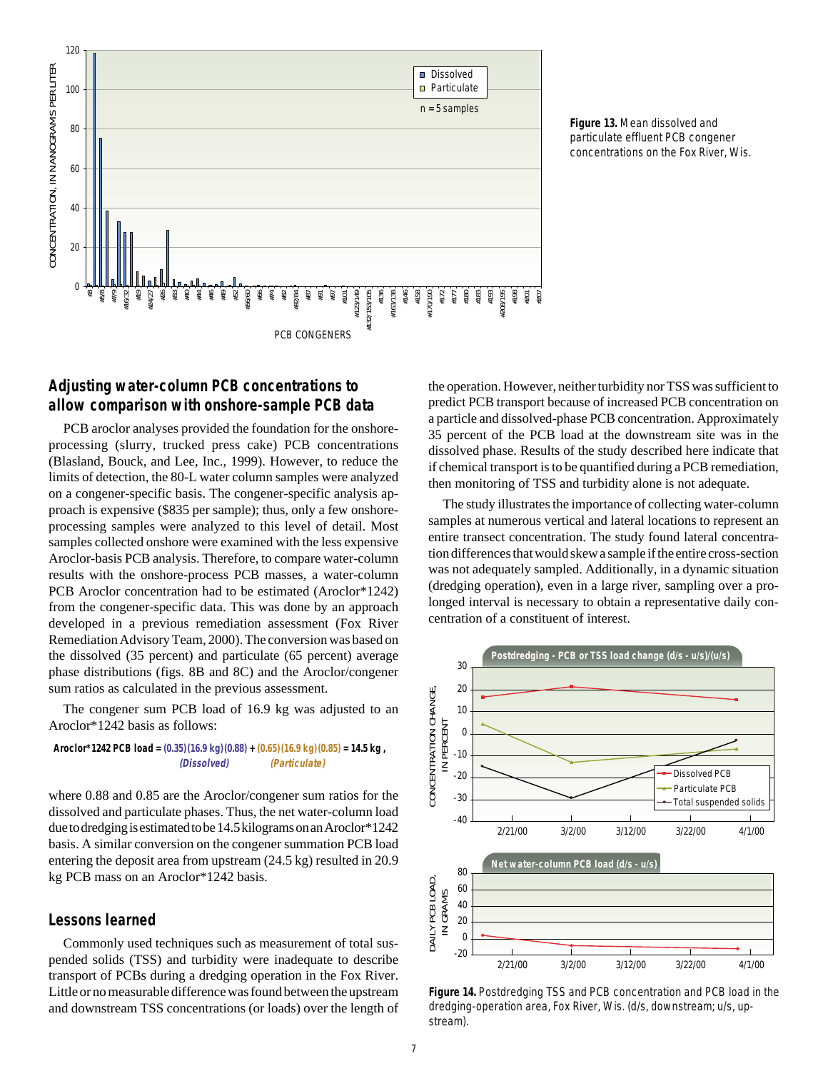

**Figure 13.** Mean dissolved and particulate effluent PCB congener concentrations on the Fox River, Wis.

# **Adjusting water-column PCB concentrations to allow comparison with onshore-sample PCB data**

PCB aroclor analyses provided the foundation for the onshoreprocessing (slurry, trucked press cake) PCB concentrations (Blasland, Bouck, and Lee, Inc., 1999). However, to reduce the limits of detection, the 80-L water column samples were analyzed on a congener-specific basis. The congener-specific analysis approach is expensive (\$835 per sample); thus, only a few onshoreprocessing samples were analyzed to this level of detail. Most samples collected onshore were examined with the less expensive Aroclor-basis PCB analysis. Therefore, to compare water-column results with the onshore-process PCB masses, a water-column PCB Aroclor concentration had to be estimated (Aroclor\*1242) from the congener-specific data. This was done by an approach developed in a previous remediation assessment (Fox River Remediation Advisory Team, 2000). The conversion was based on the dissolved (35 percent) and particulate (65 percent) average phase distributions (figs. 8B and 8C) and the Aroclor/congener sum ratios as calculated in the previous assessment.

The congener sum PCB load of 16.9 kg was adjusted to an Aroclor\*1242 basis as follows:

**Aroclor\*1242 PCB load = (0.35)(16.9 kg)(0.88) + (0.65)(16.9 kg)(0.85) = 14.5 kg , (Dissolved) (Particulate)**

where 0.88 and 0.85 are the Aroclor/congener sum ratios for the dissolved and particulate phases. Thus, the net water-column load due to dredging is estimated to be 14.5 kilograms on an Aroclor\*1242 basis. A similar conversion on the congener summation PCB load entering the deposit area from upstream (24.5 kg) resulted in 20.9 kg PCB mass on an Aroclor\*1242 basis.

## **Lessons learned**

Commonly used techniques such as measurement of total suspended solids (TSS) and turbidity were inadequate to describe transport of PCBs during a dredging operation in the Fox River. Little or no measurable difference was found between the upstream and downstream TSS concentrations (or loads) over the length of the operation. However, neither turbidity nor TSS was sufficient to predict PCB transport because of increased PCB concentration on a particle and dissolved-phase PCB concentration. Approximately 35 percent of the PCB load at the downstream site was in the dissolved phase. Results of the study described here indicate that if chemical transport is to be quantified during a PCB remediation, then monitoring of TSS and turbidity alone is not adequate.

The study illustrates the importance of collecting water-column samples at numerous vertical and lateral locations to represent an entire transect concentration. The study found lateral concentration differences that would skew a sample if the entire cross-section was not adequately sampled. Additionally, in a dynamic situation (dredging operation), even in a large river, sampling over a prolonged interval is necessary to obtain a representative daily concentration of a constituent of interest.



**Figure 14.** Postdredging TSS and PCB concentration and PCB load in the dredging-operation area, Fox River, Wis. (d/s, downstream; u/s, upstream).